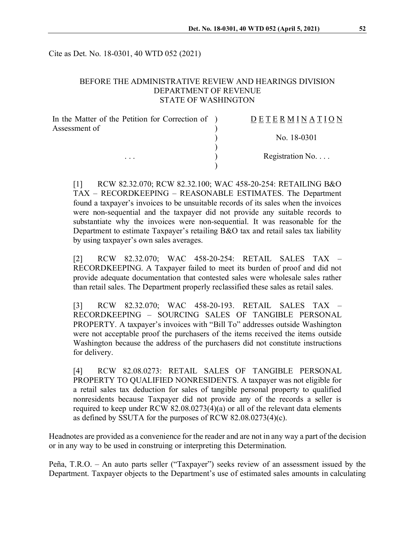Cite as Det. No. 18-0301, 40 WTD 052 (2021)

# BEFORE THE ADMINISTRATIVE REVIEW AND HEARINGS DIVISION DEPARTMENT OF REVENUE STATE OF WASHINGTON

| In the Matter of the Petition for Correction of ) | DETERMINATION            |
|---------------------------------------------------|--------------------------|
| Assessment of                                     |                          |
| $\cdots$                                          | No. 18-0301              |
|                                                   | Registration No. $\dots$ |
|                                                   |                          |

[1] RCW 82.32.070; RCW 82.32.100; WAC 458-20-254: RETAILING B&O TAX – RECORDKEEPING – REASONABLE ESTIMATES. The Department found a taxpayer's invoices to be unsuitable records of its sales when the invoices were non-sequential and the taxpayer did not provide any suitable records to substantiate why the invoices were non-sequential. It was reasonable for the Department to estimate Taxpayer's retailing B&O tax and retail sales tax liability by using taxpayer's own sales averages.

[2] RCW 82.32.070; WAC 458-20-254: RETAIL SALES TAX – RECORDKEEPING. A Taxpayer failed to meet its burden of proof and did not provide adequate documentation that contested sales were wholesale sales rather than retail sales. The Department properly reclassified these sales as retail sales.

[3] RCW 82.32.070; WAC 458-20-193. RETAIL SALES TAX – RECORDKEEPING – SOURCING SALES OF TANGIBLE PERSONAL PROPERTY. A taxpayer's invoices with "Bill To" addresses outside Washington were not acceptable proof the purchasers of the items received the items outside Washington because the address of the purchasers did not constitute instructions for delivery.

[4] RCW 82.08.0273: RETAIL SALES OF TANGIBLE PERSONAL PROPERTY TO QUALIFIED NONRESIDENTS. A taxpayer was not eligible for a retail sales tax deduction for sales of tangible personal property to qualified nonresidents because Taxpayer did not provide any of the records a seller is required to keep under RCW 82.08.0273(4)(a) or all of the relevant data elements as defined by SSUTA for the purposes of RCW 82.08.0273(4)(c).

Headnotes are provided as a convenience for the reader and are not in any way a part of the decision or in any way to be used in construing or interpreting this Determination.

Peña, T.R.O. – An auto parts seller ("Taxpayer") seeks review of an assessment issued by the Department. Taxpayer objects to the Department's use of estimated sales amounts in calculating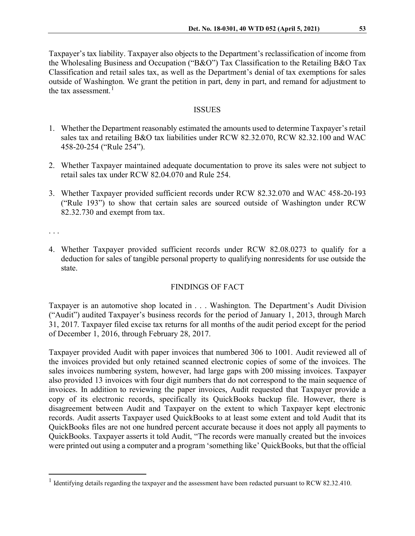Taxpayer's tax liability. Taxpayer also objects to the Department's reclassification of income from the Wholesaling Business and Occupation ("B&O") Tax Classification to the Retailing B&O Tax Classification and retail sales tax, as well as the Department's denial of tax exemptions for sales outside of Washington. We grant the petition in part, deny in part, and remand for adjustment to the tax assessment. $<sup>1</sup>$  $<sup>1</sup>$  $<sup>1</sup>$ </sup>

### ISSUES

- 1. Whether the Department reasonably estimated the amounts used to determine Taxpayer's retail sales tax and retailing B&O tax liabilities under RCW 82.32.070, RCW 82.32.100 and WAC 458-20-254 ("Rule 254").
- 2. Whether Taxpayer maintained adequate documentation to prove its sales were not subject to retail sales tax under RCW 82.04.070 and Rule 254.
- 3. Whether Taxpayer provided sufficient records under RCW 82.32.070 and WAC 458-20-193 ("Rule 193") to show that certain sales are sourced outside of Washington under RCW 82.32.730 and exempt from tax.

. . .

4. Whether Taxpayer provided sufficient records under RCW 82.08.0273 to qualify for a deduction for sales of tangible personal property to qualifying nonresidents for use outside the state.

# FINDINGS OF FACT

Taxpayer is an automotive shop located in . . . Washington. The Department's Audit Division ("Audit") audited Taxpayer's business records for the period of January 1, 2013, through March 31, 2017. Taxpayer filed excise tax returns for all months of the audit period except for the period of December 1, 2016, through February 28, 2017.

Taxpayer provided Audit with paper invoices that numbered 306 to 1001. Audit reviewed all of the invoices provided but only retained scanned electronic copies of some of the invoices. The sales invoices numbering system, however, had large gaps with 200 missing invoices. Taxpayer also provided 13 invoices with four digit numbers that do not correspond to the main sequence of invoices. In addition to reviewing the paper invoices, Audit requested that Taxpayer provide a copy of its electronic records, specifically its QuickBooks backup file. However, there is disagreement between Audit and Taxpayer on the extent to which Taxpayer kept electronic records. Audit asserts Taxpayer used QuickBooks to at least some extent and told Audit that its QuickBooks files are not one hundred percent accurate because it does not apply all payments to QuickBooks. Taxpayer asserts it told Audit, "The records were manually created but the invoices were printed out using a computer and a program 'something like' QuickBooks, but that the official

<span id="page-1-0"></span><sup>&</sup>lt;sup>1</sup> Identifying details regarding the taxpayer and the assessment have been redacted pursuant to RCW 82.32.410.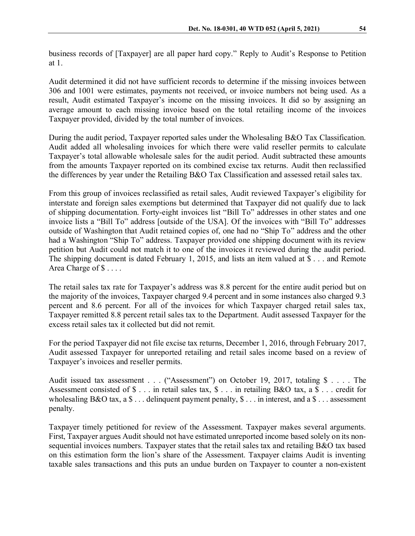business records of [Taxpayer] are all paper hard copy." Reply to Audit's Response to Petition at 1.

Audit determined it did not have sufficient records to determine if the missing invoices between 306 and 1001 were estimates, payments not received, or invoice numbers not being used. As a result, Audit estimated Taxpayer's income on the missing invoices. It did so by assigning an average amount to each missing invoice based on the total retailing income of the invoices Taxpayer provided, divided by the total number of invoices.

During the audit period, Taxpayer reported sales under the Wholesaling B&O Tax Classification. Audit added all wholesaling invoices for which there were valid reseller permits to calculate Taxpayer's total allowable wholesale sales for the audit period. Audit subtracted these amounts from the amounts Taxpayer reported on its combined excise tax returns. Audit then reclassified the differences by year under the Retailing B&O Tax Classification and assessed retail sales tax.

From this group of invoices reclassified as retail sales, Audit reviewed Taxpayer's eligibility for interstate and foreign sales exemptions but determined that Taxpayer did not qualify due to lack of shipping documentation. Forty-eight invoices list "Bill To" addresses in other states and one invoice lists a "Bill To" address [outside of the USA]. Of the invoices with "Bill To" addresses outside of Washington that Audit retained copies of, one had no "Ship To" address and the other had a Washington "Ship To" address. Taxpayer provided one shipping document with its review petition but Audit could not match it to one of the invoices it reviewed during the audit period. The shipping document is dated February 1, 2015, and lists an item valued at \$ . . . and Remote Area Charge of  $\$\dots$ .

The retail sales tax rate for Taxpayer's address was 8.8 percent for the entire audit period but on the majority of the invoices, Taxpayer charged 9.4 percent and in some instances also charged 9.3 percent and 8.6 percent. For all of the invoices for which Taxpayer charged retail sales tax, Taxpayer remitted 8.8 percent retail sales tax to the Department. Audit assessed Taxpayer for the excess retail sales tax it collected but did not remit.

For the period Taxpayer did not file excise tax returns, December 1, 2016, through February 2017, Audit assessed Taxpayer for unreported retailing and retail sales income based on a review of Taxpayer's invoices and reseller permits.

Audit issued tax assessment . . . ("Assessment") on October 19, 2017, totaling \$ . . . . The Assessment consisted of \$ . . . in retail sales tax, \$ . . . in retailing B&O tax, a \$ . . . credit for wholesaling B&O tax, a  $\$\dots$  delinquent payment penalty,  $\$\dots$  in interest, and a  $\$\dots$  assessment penalty.

Taxpayer timely petitioned for review of the Assessment. Taxpayer makes several arguments. First, Taxpayer argues Audit should not have estimated unreported income based solely on its nonsequential invoices numbers. Taxpayer states that the retail sales tax and retailing B&O tax based on this estimation form the lion's share of the Assessment. Taxpayer claims Audit is inventing taxable sales transactions and this puts an undue burden on Taxpayer to counter a non-existent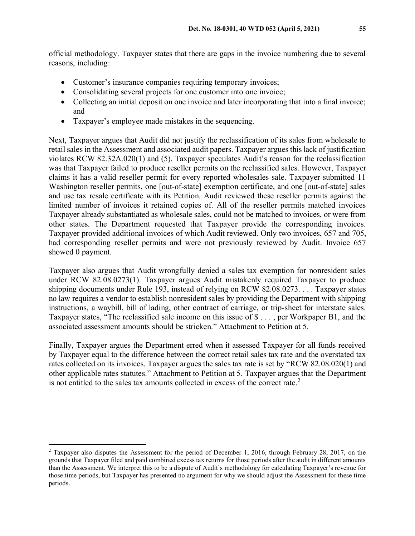official methodology. Taxpayer states that there are gaps in the invoice numbering due to several reasons, including:

- Customer's insurance companies requiring temporary invoices;
- Consolidating several projects for one customer into one invoice;
- Collecting an initial deposit on one invoice and later incorporating that into a final invoice; and
- Taxpayer's employee made mistakes in the sequencing.

Next, Taxpayer argues that Audit did not justify the reclassification of its sales from wholesale to retail sales in the Assessment and associated audit papers. Taxpayer argues this lack of justification violates RCW 82.32A.020(1) and (5). Taxpayer speculates Audit's reason for the reclassification was that Taxpayer failed to produce reseller permits on the reclassified sales. However, Taxpayer claims it has a valid reseller permit for every reported wholesales sale. Taxpayer submitted 11 Washington reseller permits, one [out-of-state] exemption certificate, and one [out-of-state] sales and use tax resale certificate with its Petition. Audit reviewed these reseller permits against the limited number of invoices it retained copies of. All of the reseller permits matched invoices Taxpayer already substantiated as wholesale sales, could not be matched to invoices, or were from other states. The Department requested that Taxpayer provide the corresponding invoices. Taxpayer provided additional invoices of which Audit reviewed. Only two invoices, 657 and 705, had corresponding reseller permits and were not previously reviewed by Audit. Invoice 657 showed 0 payment.

Taxpayer also argues that Audit wrongfully denied a sales tax exemption for nonresident sales under RCW 82.08.0273(1). Taxpayer argues Audit mistakenly required Taxpayer to produce shipping documents under Rule 193, instead of relying on RCW 82.08.0273. . . . Taxpayer states no law requires a vendor to establish nonresident sales by providing the Department with shipping instructions, a waybill, bill of lading, other contract of carriage, or trip-sheet for interstate sales. Taxpayer states, "The reclassified sale income on this issue of \$ . . . , per Workpaper B1, and the associated assessment amounts should be stricken." Attachment to Petition at 5.

Finally, Taxpayer argues the Department erred when it assessed Taxpayer for all funds received by Taxpayer equal to the difference between the correct retail sales tax rate and the overstated tax rates collected on its invoices. Taxpayer argues the sales tax rate is set by "RCW 82.08.020(1) and other applicable rates statutes." Attachment to Petition at 5. Taxpayer argues that the Department is not entitled to the sales tax amounts collected in excess of the correct rate.<sup>[2](#page-3-0)</sup>

<span id="page-3-0"></span><sup>&</sup>lt;sup>2</sup> Taxpayer also disputes the Assessment for the period of December 1, 2016, through February 28, 2017, on the grounds that Taxpayer filed and paid combined excess tax returns for those periods after the audit in different amounts than the Assessment. We interpret this to be a dispute of Audit's methodology for calculating Taxpayer's revenue for those time periods, but Taxpayer has presented no argument for why we should adjust the Assessment for these time periods.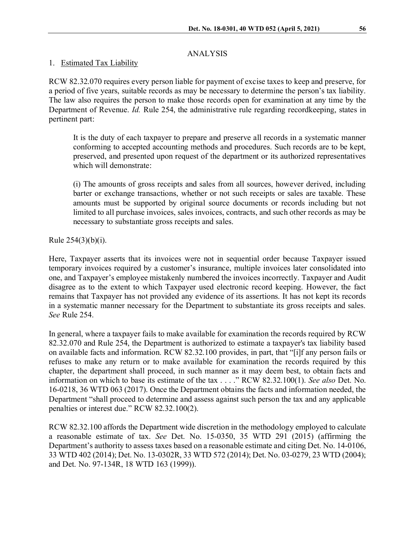# ANALYSIS

## 1. Estimated Tax Liability

RCW 82.32.070 requires every person liable for payment of excise taxes to keep and preserve, for a period of five years, suitable records as may be necessary to determine the person's tax liability. The law also requires the person to make those records open for examination at any time by the Department of Revenue. *Id.* Rule 254, the administrative rule regarding recordkeeping, states in pertinent part:

It is the duty of each taxpayer to prepare and preserve all records in a systematic manner conforming to accepted accounting methods and procedures. Such records are to be kept, preserved, and presented upon request of the department or its authorized representatives which will demonstrate:

(i) The amounts of gross receipts and sales from all sources, however derived, including barter or exchange transactions, whether or not such receipts or sales are taxable. These amounts must be supported by original source documents or records including but not limited to all purchase invoices, sales invoices, contracts, and such other records as may be necessary to substantiate gross receipts and sales.

Rule 254(3)(b)(i).

Here, Taxpayer asserts that its invoices were not in sequential order because Taxpayer issued temporary invoices required by a customer's insurance, multiple invoices later consolidated into one, and Taxpayer's employee mistakenly numbered the invoices incorrectly. Taxpayer and Audit disagree as to the extent to which Taxpayer used electronic record keeping. However, the fact remains that Taxpayer has not provided any evidence of its assertions. It has not kept its records in a systematic manner necessary for the Department to substantiate its gross receipts and sales. *See* Rule 254.

In general, where a taxpayer fails to make available for examination the records required by RCW 82.32.070 and Rule 254, the Department is authorized to estimate a taxpayer's tax liability based on available facts and information. RCW 82.32.100 provides, in part, that "[i]f any person fails or refuses to make any return or to make available for examination the records required by this chapter, the department shall proceed, in such manner as it may deem best, to obtain facts and information on which to base its estimate of the tax . . . ." RCW 82.32.100(1). *See also* Det. No. 16-0218, 36 WTD 063 (2017). Once the Department obtains the facts and information needed, the Department "shall proceed to determine and assess against such person the tax and any applicable penalties or interest due." RCW 82.32.100(2).

RCW 82.32.100 affords the Department wide discretion in the methodology employed to calculate a reasonable estimate of tax. *See* Det. No. 15-0350, 35 WTD 291 (2015) (affirming the Department's authority to assess taxes based on a reasonable estimate and citing Det. No. 14-0106, 33 WTD 402 (2014); Det. No. 13-0302R, 33 WTD 572 (2014); Det. No. 03-0279, 23 WTD (2004); and Det. No. 97-134R, 18 WTD 163 (1999)).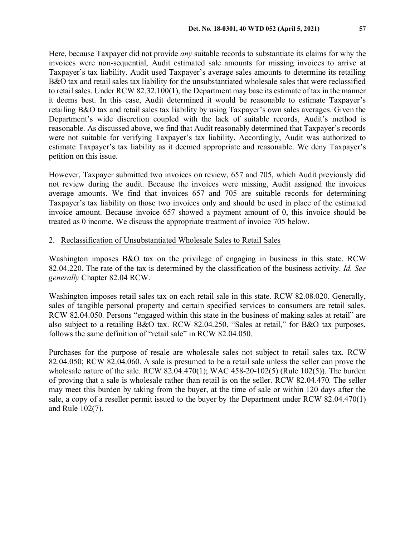Here, because Taxpayer did not provide *any* suitable records to substantiate its claims for why the invoices were non-sequential, Audit estimated sale amounts for missing invoices to arrive at Taxpayer's tax liability. Audit used Taxpayer's average sales amounts to determine its retailing B&O tax and retail sales tax liability for the unsubstantiated wholesale sales that were reclassified to retail sales. Under RCW 82.32.100(1), the Department may base its estimate of tax in the manner it deems best. In this case, Audit determined it would be reasonable to estimate Taxpayer's retailing B&O tax and retail sales tax liability by using Taxpayer's own sales averages. Given the Department's wide discretion coupled with the lack of suitable records, Audit's method is reasonable. As discussed above, we find that Audit reasonably determined that Taxpayer's records were not suitable for verifying Taxpayer's tax liability. Accordingly, Audit was authorized to estimate Taxpayer's tax liability as it deemed appropriate and reasonable. We deny Taxpayer's petition on this issue.

However, Taxpayer submitted two invoices on review, 657 and 705, which Audit previously did not review during the audit. Because the invoices were missing, Audit assigned the invoices average amounts. We find that invoices 657 and 705 are suitable records for determining Taxpayer's tax liability on those two invoices only and should be used in place of the estimated invoice amount. Because invoice 657 showed a payment amount of 0, this invoice should be treated as 0 income. We discuss the appropriate treatment of invoice 705 below.

#### 2. Reclassification of Unsubstantiated Wholesale Sales to Retail Sales

Washington imposes B&O tax on the privilege of engaging in business in this state. RCW 82.04.220. The rate of the tax is determined by the classification of the business activity. *Id. See generally* Chapter 82.04 RCW.

Washington imposes retail sales tax on each retail sale in this state. RCW 82.08.020. Generally, sales of tangible personal property and certain specified services to consumers are retail sales. RCW 82.04.050. Persons "engaged within this state in the business of making sales at retail" are also subject to a retailing B&O tax. RCW 82.04.250. "Sales at retail," for B&O tax purposes, follows the same definition of "retail sale" in RCW 82.04.050.

Purchases for the purpose of resale are wholesale sales not subject to retail sales tax. RCW 82.04.050; RCW 82.04.060. A sale is presumed to be a retail sale unless the seller can prove the wholesale nature of the sale. RCW 82.04.470(1); WAC 458-20-102(5) (Rule 102(5)). The burden of proving that a sale is wholesale rather than retail is on the seller. RCW 82.04.470. The seller may meet this burden by taking from the buyer, at the time of sale or within 120 days after the sale, a copy of a reseller permit issued to the buyer by the Department under RCW 82.04.470(1) and Rule 102(7).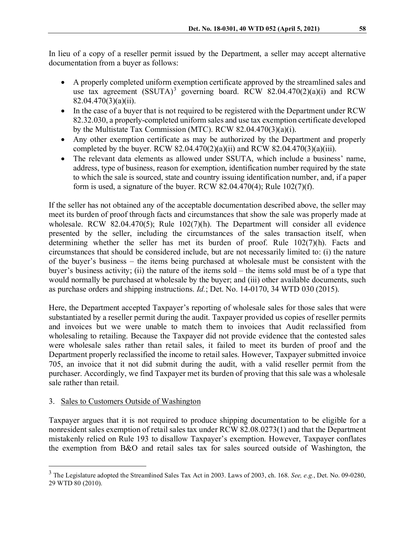In lieu of a copy of a reseller permit issued by the Department, a seller may accept alternative documentation from a buyer as follows:

- A properly completed uniform exemption certificate approved by the streamlined sales and use tax agreement  $(SSUTA)^3$  $(SSUTA)^3$  governing board. RCW 82.04.470(2)(a)(i) and RCW 82.04.470(3)(a)(ii).
- In the case of a buyer that is not required to be registered with the Department under RCW 82.32.030, a properly-completed uniform sales and use tax exemption certificate developed by the Multistate Tax Commission (MTC). RCW 82.04.470(3)(a)(i).
- Any other exemption certificate as may be authorized by the Department and properly completed by the buyer. RCW 82.04.470(2)(a)(ii) and RCW 82.04.470(3)(a)(iii).
- The relevant data elements as allowed under SSUTA, which include a business' name, address, type of business, reason for exemption, identification number required by the state to which the sale is sourced, state and country issuing identification number, and, if a paper form is used, a signature of the buyer. RCW 82.04.470(4); Rule  $102(7)(f)$ .

If the seller has not obtained any of the acceptable documentation described above, the seller may meet its burden of proof through facts and circumstances that show the sale was properly made at wholesale. RCW 82.04.470(5); Rule 102(7)(h). The Department will consider all evidence presented by the seller, including the circumstances of the sales transaction itself, when determining whether the seller has met its burden of proof. Rule 102(7)(h). Facts and circumstances that should be considered include, but are not necessarily limited to: (i) the nature of the buyer's business – the items being purchased at wholesale must be consistent with the buyer's business activity; (ii) the nature of the items sold – the items sold must be of a type that would normally be purchased at wholesale by the buyer; and (iii) other available documents, such as purchase orders and shipping instructions. *Id.*; Det. No. 14-0170, 34 WTD 030 (2015).

Here, the Department accepted Taxpayer's reporting of wholesale sales for those sales that were substantiated by a reseller permit during the audit. Taxpayer provided us copies of reseller permits and invoices but we were unable to match them to invoices that Audit reclassified from wholesaling to retailing. Because the Taxpayer did not provide evidence that the contested sales were wholesale sales rather than retail sales, it failed to meet its burden of proof and the Department properly reclassified the income to retail sales. However, Taxpayer submitted invoice 705, an invoice that it not did submit during the audit, with a valid reseller permit from the purchaser. Accordingly, we find Taxpayer met its burden of proving that this sale was a wholesale sale rather than retail.

## 3. Sales to Customers Outside of Washington

Taxpayer argues that it is not required to produce shipping documentation to be eligible for a nonresident sales exemption of retail sales tax under RCW 82.08.0273(1) and that the Department mistakenly relied on Rule 193 to disallow Taxpayer's exemption. However, Taxpayer conflates the exemption from B&O and retail sales tax for sales sourced outside of Washington, the

<span id="page-6-0"></span> <sup>3</sup> The Legislature adopted the Streamlined Sales Tax Act in 2003. Laws of 2003, ch. 168. *See, e.g.*, Det. No. 09-0280, 29 WTD 80 (2010).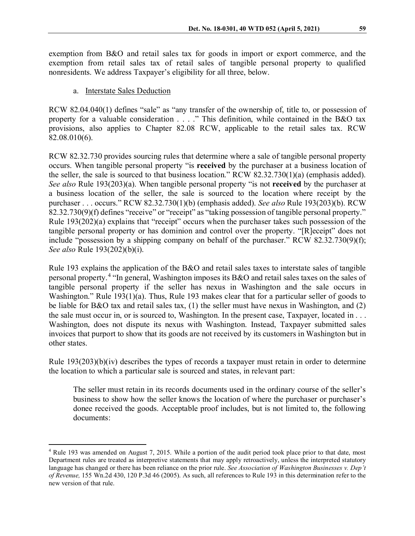exemption from B&O and retail sales tax for goods in import or export commerce, and the exemption from retail sales tax of retail sales of tangible personal property to qualified nonresidents. We address Taxpayer's eligibility for all three, below.

### a. Interstate Sales Deduction

RCW 82.04.040(1) defines "sale" as "any transfer of the ownership of, title to, or possession of property for a valuable consideration . . . ." This definition, while contained in the B&O tax provisions, also applies to Chapter 82.08 RCW, applicable to the retail sales tax. RCW 82.08.010(6).

RCW 82.32.730 provides sourcing rules that determine where a sale of tangible personal property occurs. When tangible personal property "is **received** by the purchaser at a business location of the seller, the sale is sourced to that business location." RCW 82.32.730(1)(a) (emphasis added). *See also* Rule 193(203)(a). When tangible personal property "is not **received** by the purchaser at a business location of the seller, the sale is sourced to the location where receipt by the purchaser . . . occurs." RCW 82.32.730(1)(b) (emphasis added). *See also* Rule 193(203)(b). RCW 82.32.730(9)(f) defines "receive" or "receipt" as "taking possession of tangible personal property." Rule 193(202)(a) explains that "receipt" occurs when the purchaser takes such possession of the tangible personal property or has dominion and control over the property. "[R]eceipt" does not include "possession by a shipping company on behalf of the purchaser." RCW 82.32.730(9)(f); *See also* Rule 193(202)(b)(i).

Rule 193 explains the application of the B&O and retail sales taxes to interstate sales of tangible personal property.[4](#page-7-0) "In general, Washington imposes its B&O and retail sales taxes on the sales of tangible personal property if the seller has nexus in Washington and the sale occurs in Washington." Rule 193(1)(a). Thus, Rule 193 makes clear that for a particular seller of goods to be liable for B&O tax and retail sales tax, (1) the seller must have nexus in Washington, and (2) the sale must occur in, or is sourced to, Washington. In the present case, Taxpayer, located in . . . Washington, does not dispute its nexus with Washington. Instead, Taxpayer submitted sales invoices that purport to show that its goods are not received by its customers in Washington but in other states.

Rule  $193(203)(b)(iv)$  describes the types of records a taxpayer must retain in order to determine the location to which a particular sale is sourced and states, in relevant part:

The seller must retain in its records documents used in the ordinary course of the seller's business to show how the seller knows the location of where the purchaser or purchaser's donee received the goods. Acceptable proof includes, but is not limited to, the following documents:

<span id="page-7-0"></span> <sup>4</sup> Rule 193 was amended on August 7, 2015. While a portion of the audit period took place prior to that date, most Department rules are treated as interpretive statements that may apply retroactively, unless the interpreted statutory language has changed or there has been reliance on the prior rule. *See Association of Washington Businesses v. Dep't of Revenue,* 155 Wn.2d 430, 120 P.3d 46 (2005). As such, all references to Rule 193 in this determination refer to the new version of that rule.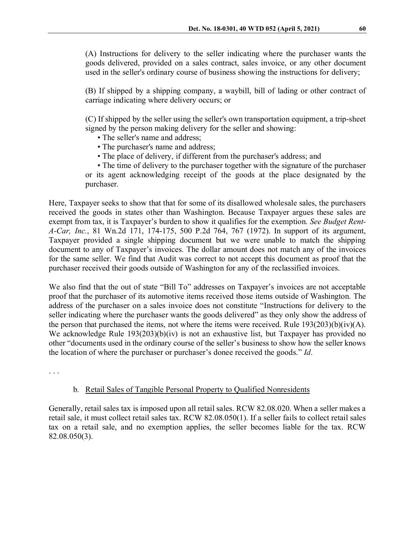(A) Instructions for delivery to the seller indicating where the purchaser wants the goods delivered, provided on a sales contract, sales invoice, or any other document used in the seller's ordinary course of business showing the instructions for delivery;

(B) If shipped by a shipping company, a waybill, bill of lading or other contract of carriage indicating where delivery occurs; or

(C) If shipped by the seller using the seller's own transportation equipment, a trip-sheet signed by the person making delivery for the seller and showing:

- The seller's name and address;
- The purchaser's name and address;
- The place of delivery, if different from the purchaser's address; and

• The time of delivery to the purchaser together with the signature of the purchaser or its agent acknowledging receipt of the goods at the place designated by the purchaser.

Here, Taxpayer seeks to show that that for some of its disallowed wholesale sales, the purchasers received the goods in states other than Washington. Because Taxpayer argues these sales are exempt from tax, it is Taxpayer's burden to show it qualifies for the exemption. *See Budget Rent-A-Car, Inc.*, 81 Wn.2d 171, 174-175, 500 P.2d 764, 767 (1972). In support of its argument, Taxpayer provided a single shipping document but we were unable to match the shipping document to any of Taxpayer's invoices. The dollar amount does not match any of the invoices for the same seller. We find that Audit was correct to not accept this document as proof that the purchaser received their goods outside of Washington for any of the reclassified invoices.

We also find that the out of state "Bill To" addresses on Taxpayer's invoices are not acceptable proof that the purchaser of its automotive items received those items outside of Washington. The address of the purchaser on a sales invoice does not constitute "Instructions for delivery to the seller indicating where the purchaser wants the goods delivered" as they only show the address of the person that purchased the items, not where the items were received. Rule  $193(203)(b)(iv)(A)$ . We acknowledge Rule 193(203)(b)(iv) is not an exhaustive list, but Taxpayer has provided no other "documents used in the ordinary course of the seller's business to show how the seller knows the location of where the purchaser or purchaser's donee received the goods." *Id*.

. . .

## b. Retail Sales of Tangible Personal Property to Qualified Nonresidents

Generally, retail sales tax is imposed upon all retail sales. RCW 82.08.020. When a seller makes a retail sale, it must collect retail sales tax. RCW 82.08.050(1). If a seller fails to collect retail sales tax on a retail sale, and no exemption applies, the seller becomes liable for the tax. RCW 82.08.050(3).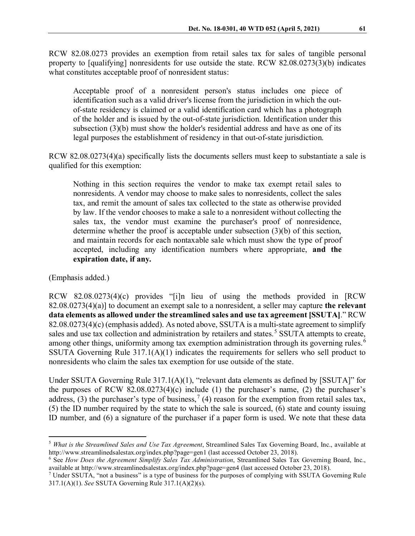RCW 82.08.0273 provides an exemption from retail sales tax for sales of tangible personal property to [qualifying] nonresidents for use outside the state. RCW 82.08.0273(3)(b) indicates what constitutes acceptable proof of nonresident status:

Acceptable proof of a nonresident person's status includes one piece of identification such as a valid driver's license from the jurisdiction in which the outof-state residency is claimed or a valid identification card which has a photograph of the holder and is issued by the out-of-state jurisdiction. Identification under this subsection (3)(b) must show the holder's residential address and have as one of its legal purposes the establishment of residency in that out-of-state jurisdiction.

RCW 82.08.0273(4)(a) specifically lists the documents sellers must keep to substantiate a sale is qualified for this exemption:

Nothing in this section requires the vendor to make tax exempt retail sales to nonresidents. A vendor may choose to make sales to nonresidents, collect the sales tax, and remit the amount of sales tax collected to the state as otherwise provided by law. If the vendor chooses to make a sale to a nonresident without collecting the sales tax, the vendor must examine the purchaser's proof of nonresidence, determine whether the proof is acceptable under subsection (3)(b) of this section, and maintain records for each nontaxable sale which must show the type of proof accepted, including any identification numbers where appropriate, **and the expiration date, if any.**

(Emphasis added.)

RCW 82.08.0273(4)(c) provides "[i]n lieu of using the methods provided in [RCW 82.08.0273(4)(a)] to document an exempt sale to a nonresident, a seller may capture **the relevant data elements as allowed under the streamlined sales and use tax agreement [SSUTA]**." RCW 82.08.0273(4)(c) (emphasis added). As noted above, SSUTA is a multi-state agreement to simplify sales and use tax collection and administration by retailers and states.<sup>[5](#page-9-0)</sup> SSUTA attempts to create, among other things, uniformity among tax exemption administration through its governing rules.<sup>[6](#page-9-1)</sup> SSUTA Governing Rule 317.1(A)(1) indicates the requirements for sellers who sell product to nonresidents who claim the sales tax exemption for use outside of the state.

Under SSUTA Governing Rule 317.1(A)(1), "relevant data elements as defined by [SSUTA]" for the purposes of RCW 82.08.0273(4)(c) include (1) the purchaser's name, (2) the purchaser's address, (3) the purchaser's type of business,<sup>[7](#page-9-2)</sup> (4) reason for the exemption from retail sales tax, (5) the ID number required by the state to which the sale is sourced, (6) state and county issuing ID number, and (6) a signature of the purchaser if a paper form is used. We note that these data

<span id="page-9-0"></span> <sup>5</sup> *What is the Streamlined Sales and Use Tax Agreement*, Streamlined Sales Tax Governing Board, Inc., available at http://www.streamlinedsalestax.org/index.php?page=gen1 (last accessed October 23, 2018).

<span id="page-9-1"></span><sup>6</sup> See *How Does the Agreement Simplify Sales Tax Administration*, Streamlined Sales Tax Governing Board, Inc., available at http://www.streamlinedsalestax.org/index.php?page=gen4 (last accessed October 23, 2018).

<span id="page-9-2"></span><sup>7</sup> Under SSUTA, "not a business" is a type of business for the purposes of complying with SSUTA Governing Rule 317.1(A)(1). *See* SSUTA Governing Rule 317.1(A)(2)(s).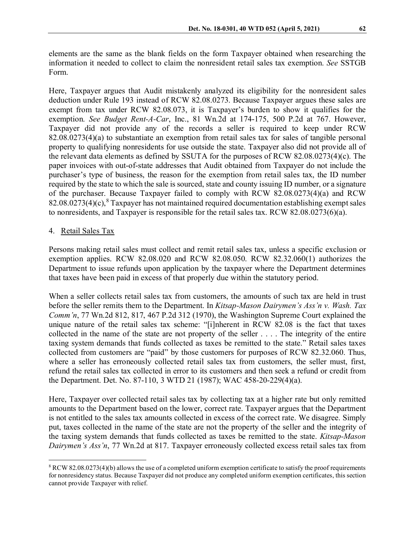elements are the same as the blank fields on the form Taxpayer obtained when researching the information it needed to collect to claim the nonresident retail sales tax exemption. *See* SSTGB Form.

Here, Taxpayer argues that Audit mistakenly analyzed its eligibility for the nonresident sales deduction under Rule 193 instead of RCW 82.08.0273. Because Taxpayer argues these sales are exempt from tax under RCW 82.08.073, it is Taxpayer's burden to show it qualifies for the exemption. *See Budget Rent-A-Car*, Inc., 81 Wn.2d at 174-175, 500 P.2d at 767. However, Taxpayer did not provide any of the records a seller is required to keep under RCW 82.08.0273(4)(a) to substantiate an exemption from retail sales tax for sales of tangible personal property to qualifying nonresidents for use outside the state. Taxpayer also did not provide all of the relevant data elements as defined by SSUTA for the purposes of RCW 82.08.0273(4)(c). The paper invoices with out-of-state addresses that Audit obtained from Taxpayer do not include the purchaser's type of business, the reason for the exemption from retail sales tax, the ID number required by the state to which the sale is sourced, state and county issuing ID number, or a signature of the purchaser. Because Taxpayer failed to comply with RCW 82.08.0273(4)(a) and RCW  $82.08.0273(4)(c)$  $82.08.0273(4)(c)$ ,  $8$  Taxpayer has not maintained required documentation establishing exempt sales to nonresidents, and Taxpayer is responsible for the retail sales tax. RCW 82.08.0273(6)(a).

#### 4. Retail Sales Tax

Persons making retail sales must collect and remit retail sales tax, unless a specific exclusion or exemption applies. RCW 82.08.020 and RCW 82.08.050. RCW 82.32.060(1) authorizes the Department to issue refunds upon application by the taxpayer where the Department determines that taxes have been paid in excess of that properly due within the statutory period.

When a seller collects retail sales tax from customers, the amounts of such tax are held in trust before the seller remits them to the Department. In *Kitsap-Mason Dairymen's Ass'n v. Wash. Tax Comm'n*, 77 Wn.2d 812, 817, 467 P.2d 312 (1970), the Washington Supreme Court explained the unique nature of the retail sales tax scheme: "[i]nherent in RCW 82.08 is the fact that taxes collected in the name of the state are not property of the seller . . . . The integrity of the entire taxing system demands that funds collected as taxes be remitted to the state." Retail sales taxes collected from customers are "paid" by those customers for purposes of RCW 82.32.060. Thus, where a seller has erroneously collected retail sales tax from customers, the seller must, first, refund the retail sales tax collected in error to its customers and then seek a refund or credit from the Department. Det. No. 87-110, 3 WTD 21 (1987); WAC 458-20-229(4)(a).

Here, Taxpayer over collected retail sales tax by collecting tax at a higher rate but only remitted amounts to the Department based on the lower, correct rate. Taxpayer argues that the Department is not entitled to the sales tax amounts collected in excess of the correct rate. We disagree. Simply put, taxes collected in the name of the state are not the property of the seller and the integrity of the taxing system demands that funds collected as taxes be remitted to the state. *Kitsap-Mason Dairymen's Ass'n*, 77 Wn.2d at 817. Taxpayer erroneously collected excess retail sales tax from

<span id="page-10-0"></span> $8$  RCW 82.08.0273(4)(b) allows the use of a completed uniform exemption certificate to satisfy the proof requirements for nonresidency status. Because Taxpayer did not produce any completed uniform exemption certificates, this section cannot provide Taxpayer with relief.